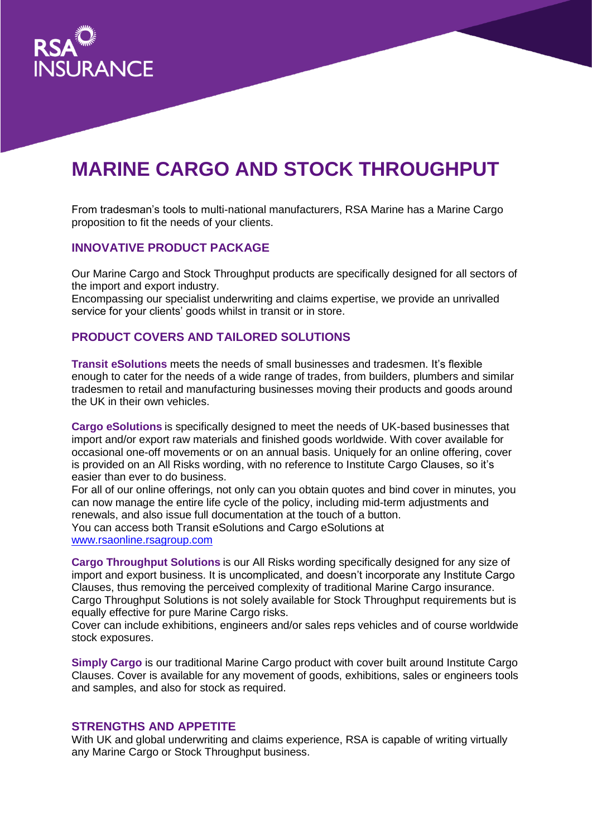

# **MARINE CARGO AND STOCK THROUGHPUT**

From tradesman's tools to multi-national manufacturers, RSA Marine has a Marine Cargo proposition to fit the needs of your clients.

## **INNOVATIVE PRODUCT PACKAGE**

Our Marine Cargo and Stock Throughput products are specifically designed for all sectors of the import and export industry.

Encompassing our specialist underwriting and claims expertise, we provide an unrivalled service for your clients' goods whilst in transit or in store.

# **PRODUCT COVERS AND TAILORED SOLUTIONS**

**Transit eSolutions** meets the needs of small businesses and tradesmen. It's flexible enough to cater for the needs of a wide range of trades, from builders, plumbers and similar tradesmen to retail and manufacturing businesses moving their products and goods around the UK in their own vehicles.

**Cargo eSolutions** is specifically designed to meet the needs of UK-based businesses that import and/or export raw materials and finished goods worldwide. With cover available for occasional one-off movements or on an annual basis. Uniquely for an online offering, cover is provided on an All Risks wording, with no reference to Institute Cargo Clauses, so it's easier than ever to do business.

For all of our online offerings, not only can you obtain quotes and bind cover in minutes, you can now manage the entire life cycle of the policy, including mid-term adjustments and renewals, and also issue full documentation at the touch of a button.

You can access both Transit eSolutions and Cargo eSolutions at [www.rsaonline.rsagroup.com](http://www.rsaonline.rsagroup.com/)

**Cargo Throughput Solutions** is our All Risks wording specifically designed for any size of import and export business. It is uncomplicated, and doesn't incorporate any Institute Cargo Clauses, thus removing the perceived complexity of traditional Marine Cargo insurance. Cargo Throughput Solutions is not solely available for Stock Throughput requirements but is equally effective for pure Marine Cargo risks.

Cover can include exhibitions, engineers and/or sales reps vehicles and of course worldwide stock exposures.

**Simply Cargo** is our traditional Marine Cargo product with cover built around Institute Cargo Clauses. Cover is available for any movement of goods, exhibitions, sales or engineers tools and samples, and also for stock as required.

#### **STRENGTHS AND APPETITE**

With UK and global underwriting and claims experience, RSA is capable of writing virtually any Marine Cargo or Stock Throughput business.